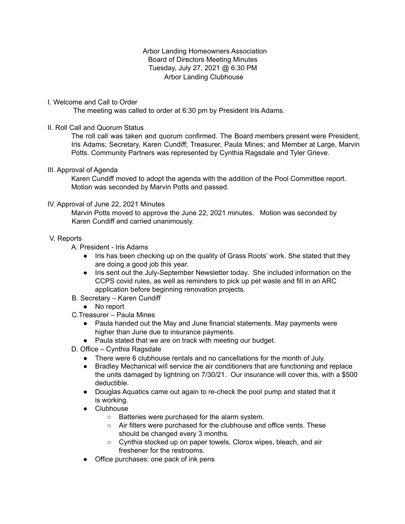## Arbor Landing Homeowners Association Board of Directors Meeting Minutes Tuesday, July 27, 2021 @ 6:30 PM Arbor Landing Clubhouse

## I. Welcome and Call to Order

The meeting was called to order at 6:30 pm by President Iris Adams.

## II. Roll Call and Quorum Status

The roll call was taken and quorum confirmed. The Board members present were President, Iris Adams; Secretary, Karen Cundiff; Treasurer, Paula Mines; and Member at Large, Marvin Potts. Community Partners was represented by Cynthia Ragsdale and Tyler Grieve.

### III. Approval of Agenda

Karen Cundiff moved to adopt the agenda with the addition of the Pool Committee report. Motion was seconded by Marvin Potts and passed.

### IV. Approval of June 22, 2021 Minutes

Marvin Potts moved to approve the June 22, 2021 minutes. Motion was seconded by Karen Cundiff and carried unanimously.

### V. Reports

- A. President Iris Adams
	- Iris has been checking up on the quality of Grass Roots' work. She stated that they are doing a good job this year.
	- Iris sent out the July-September Newsletter today. She included information on the CCPS covid rules, as well as reminders to pick up pet waste and fill in an ARC application before beginning renovation projects.
- B. Secretary Karen Cundiff
	- No report
- C.Treasurer Paula Mines
	- Paula handed out the May and June financial statements. May payments were higher than June due to insurance payments.
	- Paula stated that we are on track with meeting our budget.
- D. Office Cynthia Ragsdale
	- There were 6 clubhouse rentals and no cancellations for the month of July.
	- Bradley Mechanical will service the air conditioners that are functioning and replace the units damaged by lightning on 7/30/21. Our insurance will cover this, with a \$500 deductible.
	- Douglas Aquatics came out again to re-check the pool pump and stated that it is working.
	- Clubhouse
		- Batteries were purchased for the alarm system.
		- Air filters were purchased for the clubhouse and office vents. These should be changed every 3 months.
		- Cynthia stocked up on paper towels, Clorox wipes, bleach, and air freshener for the restrooms.
	- Office purchases: one pack of ink pens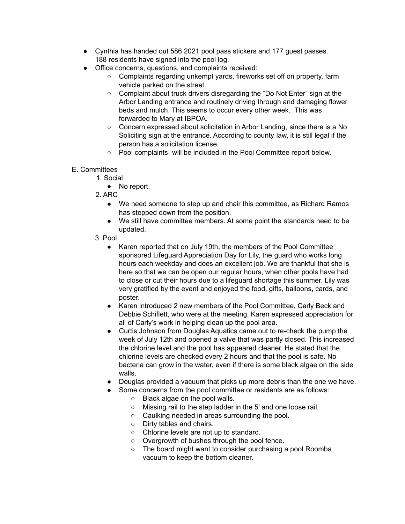- Cynthia has handed out 586 2021 pool pass stickers and 177 guest passes. 188 residents have signed into the pool log.
- Office concerns, questions, and complaints received:
	- Complaints regarding unkempt yards, fireworks set off on property, farm vehicle parked on the street.
	- Complaint about truck drivers disregarding the "Do Not Enter" sign at the Arbor Landing entrance and routinely driving through and damaging flower beds and mulch. This seems to occur every other week. This was forwarded to Mary at IBPOA.
	- Concern expressed about solicitation in Arbor Landing, since there is a No Soliciting sign at the entrance. According to county law, it is still legal if the person has a solicitation license.
	- Pool complaints- will be included in the Pool Committee report below.

# E. Committees

- 1. Social
	- No report.
- 2. ARC
	- We need someone to step up and chair this committee, as Richard Ramos has stepped down from the position.
	- We still have committee members. At some point the standards need to be updated.
- 3. Pool
	- Karen reported that on July 19th, the members of the Pool Committee sponsored Lifeguard Appreciation Day for Lily, the guard who works long hours each weekday and does an excellent job. We are thankful that she is here so that we can be open our regular hours, when other pools have had to close or cut their hours due to a lifeguard shortage this summer. Lily was very gratified by the event and enjoyed the food, gifts, balloons, cards, and poster.
	- Karen introduced 2 new members of the Pool Committee, Carly Beck and Debbie Schiflett, who were at the meeting. Karen expressed appreciation for all of Carly's work in helping clean up the pool area.
	- Curtis Johnson from Douglas Aquatics came out to re-check the pump the week of July 12th and opened a valve that was partly closed. This increased the chlorine level and the pool has appeared cleaner. He stated that the chlorine levels are checked every 2 hours and that the pool is safe. No bacteria can grow in the water, even if there is some black algae on the side walls.
	- Douglas provided a vacuum that picks up more debris than the one we have.
	- Some concerns from the pool committee or residents are as follows:
		- Black algae on the pool walls.
		- Missing rail to the step ladder in the 5' and one loose rail.
		- Caulking needed in areas surrounding the pool.
		- Dirty tables and chairs.
		- Chlorine levels are not up to standard.
		- Overgrowth of bushes through the pool fence.
		- The board might want to consider purchasing a pool Roomba vacuum to keep the bottom cleaner.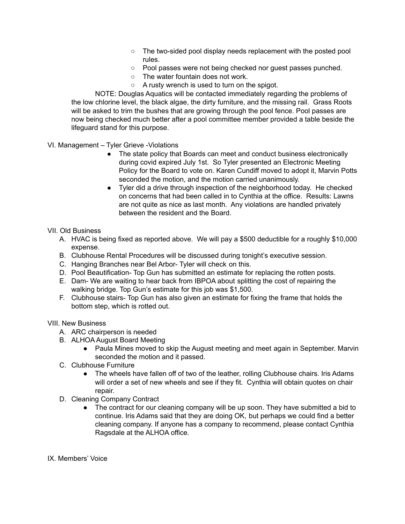- The two-sided pool display needs replacement with the posted pool rules.
- Pool passes were not being checked nor guest passes punched.
- The water fountain does not work.
- A rusty wrench is used to turn on the spigot.

NOTE: Douglas Aquatics will be contacted immediately regarding the problems of the low chlorine level, the black algae, the dirty furniture, and the missing rail. Grass Roots will be asked to trim the bushes that are growing through the pool fence. Pool passes are now being checked much better after a pool committee member provided a table beside the lifeguard stand for this purpose.

VI. Management – Tyler Grieve -Violations

- The state policy that Boards can meet and conduct business electronically during covid expired July 1st. So Tyler presented an Electronic Meeting Policy for the Board to vote on. Karen Cundiff moved to adopt it, Marvin Potts seconded the motion, and the motion carried unanimously.
- Tyler did a drive through inspection of the neighborhood today. He checked on concerns that had been called in to Cynthia at the office. Results: Lawns are not quite as nice as last month. Any violations are handled privately between the resident and the Board.

# VII. Old Business

- A. HVAC is being fixed as reported above. We will pay a \$500 deductible for a roughly \$10,000 expense.
- B. Clubhouse Rental Procedures will be discussed during tonight's executive session.
- C. Hanging Branches near Bel Arbor- Tyler will check on this.
- D. Pool Beautification- Top Gun has submitted an estimate for replacing the rotten posts.
- E. Dam- We are waiting to hear back from IBPOA about splitting the cost of repairing the walking bridge. Top Gun's estimate for this job was \$1,500.
- F. Clubhouse stairs- Top Gun has also given an estimate for fixing the frame that holds the bottom step, which is rotted out.

VIII. New Business

- A. ARC chairperson is needed
- B. ALHOA August Board Meeting
	- Paula Mines moved to skip the August meeting and meet again in September. Marvin seconded the motion and it passed.
- C. Clubhouse Furniture
	- The wheels have fallen off of two of the leather, rolling Clubhouse chairs. Iris Adams will order a set of new wheels and see if they fit. Cynthia will obtain quotes on chair repair.
- D. Cleaning Company Contract
	- The contract for our cleaning company will be up soon. They have submitted a bid to continue. Iris Adams said that they are doing OK, but perhaps we could find a better cleaning company. If anyone has a company to recommend, please contact Cynthia Ragsdale at the ALHOA office.
- IX. Members' Voice